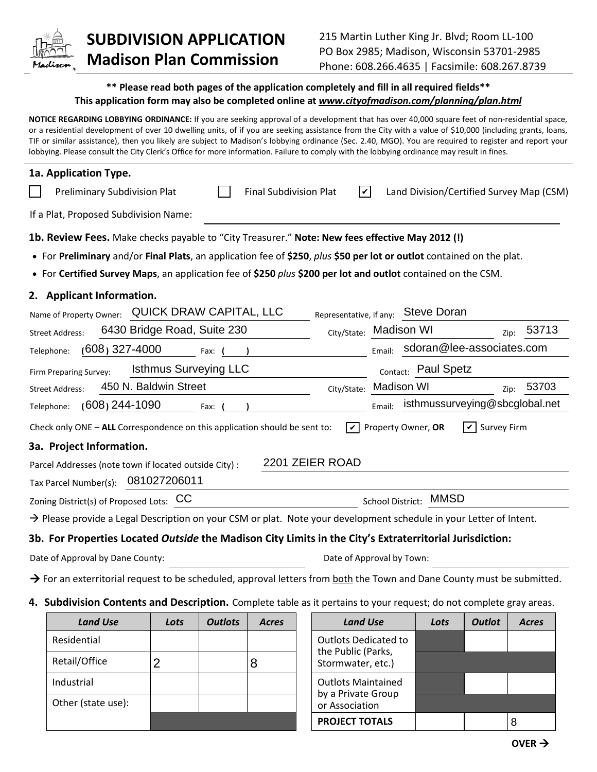

## **SUBDIVISION APPLICATION Madison Plan Commission**

## **\*\* Please read both pages of the application completely and fill in all required fields\*\* This application form may also be completed online at** *www.cityofmadison.com/planning/plan.html*

**NOTICE REGARDING LOBBYING ORDINANCE:** If you are seeking approval of a development that has over 40,000 square feet of non-residential space, or a residential development of over 10 dwelling units, of if you are seeking assistance from the City with a value of \$10,000 (including grants, loans, TIF or similar assistance), then you likely are subject to Madison's lobbying ordinance (Sec. 2.40, MGO). You are required to register and report your lobbying. Please consult the City Clerk's Office for more information. Failure to comply with the lobbying ordinance may result in fines.

| 1a. Application Type.                                                                                                                  |                                          |  |  |  |  |  |
|----------------------------------------------------------------------------------------------------------------------------------------|------------------------------------------|--|--|--|--|--|
| $ \boldsymbol{v} $<br>Preliminary Subdivision Plat<br><b>Final Subdivision Plat</b>                                                    | Land Division/Certified Survey Map (CSM) |  |  |  |  |  |
| If a Plat, Proposed Subdivision Name:                                                                                                  |                                          |  |  |  |  |  |
| 1b. Review Fees. Make checks payable to "City Treasurer." Note: New fees effective May 2012 (!)                                        |                                          |  |  |  |  |  |
| • For Preliminary and/or Final Plats, an application fee of \$250, plus \$50 per lot or outlot contained on the plat.                  |                                          |  |  |  |  |  |
| • For Certified Survey Maps, an application fee of \$250 plus \$200 per lot and outlot contained on the CSM.                           |                                          |  |  |  |  |  |
| 2. Applicant Information.                                                                                                              |                                          |  |  |  |  |  |
| QUICK DRAW CAPITAL, LLC<br>Representative, if any: Steve Doran<br>Name of Property Owner:                                              |                                          |  |  |  |  |  |
| 6430 Bridge Road, Suite 230<br>City/State: Madison WI<br><b>Street Address:</b>                                                        | 53713<br>Zip:                            |  |  |  |  |  |
| $(608)$ 327-4000<br>Telephone:<br>Email:<br>Fax:                                                                                       | sdoran@lee-associates.com                |  |  |  |  |  |
| <b>Isthmus Surveying LLC</b><br>Firm Preparing Survey:                                                                                 | Contact: Paul Spetz                      |  |  |  |  |  |
| 450 N. Baldwin Street<br>City/State:<br><b>Street Address:</b>                                                                         | <b>Madison WI</b><br>53703<br>Zip:       |  |  |  |  |  |
| $(608)$ 244-1090<br>Email:<br>Telephone:<br>Fax:                                                                                       | isthmussurveying@sbcglobal.net           |  |  |  |  |  |
| Property Owner, OR<br><b>Survey Firm</b><br>lv I<br>Check only ONE - ALL Correspondence on this application should be sent to:<br>ا ۱۷ |                                          |  |  |  |  |  |
| 3a. Project Information.                                                                                                               |                                          |  |  |  |  |  |
| 2201 ZEIER ROAD<br>Parcel Addresses (note town if located outside City) :                                                              |                                          |  |  |  |  |  |
| 081027206011<br>Tax Parcel Number(s):                                                                                                  |                                          |  |  |  |  |  |
| Zoning District(s) of Proposed Lots: CC                                                                                                | School District: MMSD                    |  |  |  |  |  |
| $\rightarrow$ Please provide a Legal Description on your CSM or plat. Note your development schedule in your Letter of Intent.         |                                          |  |  |  |  |  |
| 3b. For Properties Located Outside the Madison City Limits in the City's Extraterritorial Jurisdiction:                                |                                          |  |  |  |  |  |
| Date of Approval by Dane County:<br>Date of Approval by Town:                                                                          |                                          |  |  |  |  |  |
| $\rightarrow$ For an exterritorial request to be scheduled, approval letters from both the Town and Dane County must be submitted.     |                                          |  |  |  |  |  |

## **4. Subdivision Contents and Description.** Complete table as it pertains to your request; do not complete gray areas.

| <b>Land Use</b>    | Lots | <b>Outlots</b> | <b>Acres</b> |                                                                   | <b>Land Use</b>       | Lots | <b>Outlot</b> | <b>Acres</b> |
|--------------------|------|----------------|--------------|-------------------------------------------------------------------|-----------------------|------|---------------|--------------|
| Residential        |      |                |              | <b>Outlots Dedicated to</b>                                       |                       |      |               |              |
| Retail/Office      | 2    |                | 8            | the Public (Parks,<br>Stormwater, etc.)                           |                       |      |               |              |
| Industrial         |      |                |              | <b>Outlots Maintained</b><br>by a Private Group<br>or Association |                       |      |               |              |
| Other (state use): |      |                |              |                                                                   |                       |      |               |              |
|                    |      |                |              |                                                                   | <b>PROJECT TOTALS</b> |      |               | 8            |